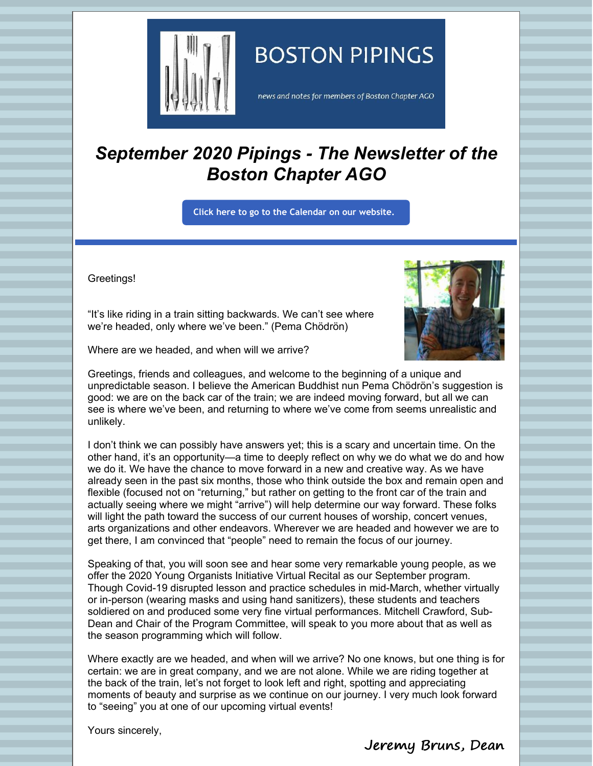

# **BOSTON PIPINGS**

news and notes for members of Boston Chapter AGO

# *September 2020 Pipings - The Newsletter of the Boston Chapter AGO*

**Click here to go to the [Calendar](http://www.bostonago.org/calendar-2/) on our website.**

Greetings!



Where are we headed, and when will we arrive?

"It's like riding in a train sitting backwards. We can't see where we're headed, only where we've been." (Pema Chödrön)

Greetings, friends and colleagues, and welcome to the beginning of a unique and unpredictable season. I believe the American Buddhist nun Pema Chödrön's suggestion is good: we are on the back car of the train; we are indeed moving forward, but all we can see is where we've been, and returning to where we've come from seems unrealistic and unlikely.

I don't think we can possibly have answers yet; this is a scary and uncertain time. On the other hand, it's an opportunity—a time to deeply reflect on why we do what we do and how we do it. We have the chance to move forward in a new and creative way. As we have already seen in the past six months, those who think outside the box and remain open and flexible (focused not on "returning," but rather on getting to the front car of the train and actually seeing where we might "arrive") will help determine our way forward. These folks will light the path toward the success of our current houses of worship, concert venues, arts organizations and other endeavors. Wherever we are headed and however we are to get there, I am convinced that "people" need to remain the focus of our journey.

Speaking of that, you will soon see and hear some very remarkable young people, as we offer the 2020 Young Organists Initiative Virtual Recital as our September program. Though Covid-19 disrupted lesson and practice schedules in mid-March, whether virtually or in-person (wearing masks and using hand sanitizers), these students and teachers soldiered on and produced some very fine virtual performances. Mitchell Crawford, Sub-Dean and Chair of the Program Committee, will speak to you more about that as well as the season programming which will follow.

Where exactly are we headed, and when will we arrive? No one knows, but one thing is for certain: we are in great company, and we are not alone. While we are riding together at the back of the train, let's not forget to look left and right, spotting and appreciating moments of beauty and surprise as we continue on our journey. I very much look forward to "seeing" you at one of our upcoming virtual events!

Yours sincerely,

Jeremy Bruns, Dean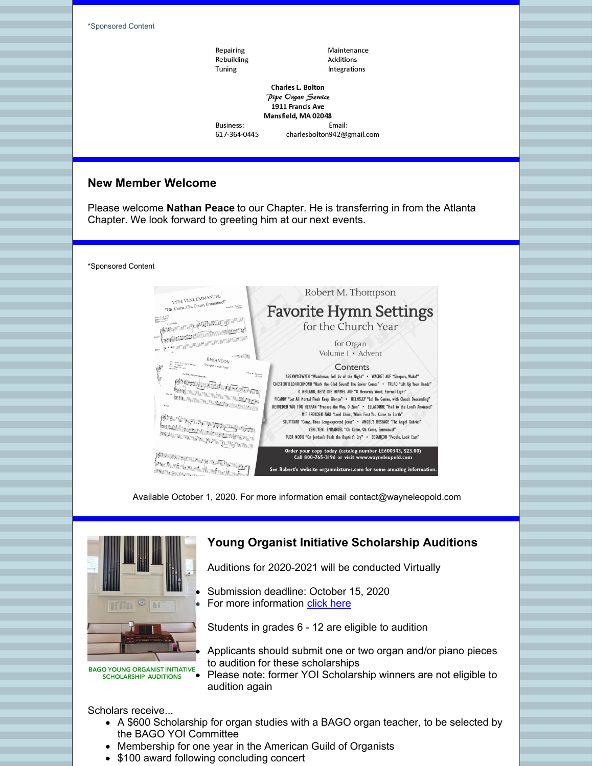\*Sponsored Content Repairing Maintenance Rebuilding **Additions** Tuning Integrations **Charles L. Bolton** Pipe Organ Service 1911 Francis Ave Mansfield, MA 02048 **Business:** Email: 617-364-0445 charlesbolton942@gmail.com

#### **New Member Welcome**

Please welcome **Nathan Peace** to our Chapter. He is transferring in from the Atlanta Chapter. We look forward to greeting him at our next events.

\*Sponsored Content



Available October 1, 2020. For more information email contact@wayneleopold.com



**BAGO YOUNG ORGANIST INITIATIVE SCHOLARSHIP AUDITIONS** 

### **Young Organist Initiative Scholarship Auditions**

Auditions for 2020-2021 will be conducted Virtually

Submission deadline: October 15, 2020 For more information [click](http://www.bostonago.org/auditions-2020-2021/) here

Students in grades 6 - 12 are eligible to audition

Applicants should submit one or two organ and/or piano pieces to audition for these scholarships

Please note: former YOI Scholarship winners are not eligible to audition again

Scholars receive...

- A \$600 Scholarship for organ studies with a BAGO organ teacher, to be selected by the BAGO YOI Committee
- Membership for one year in the American Guild of Organists
- \$100 award following concluding concert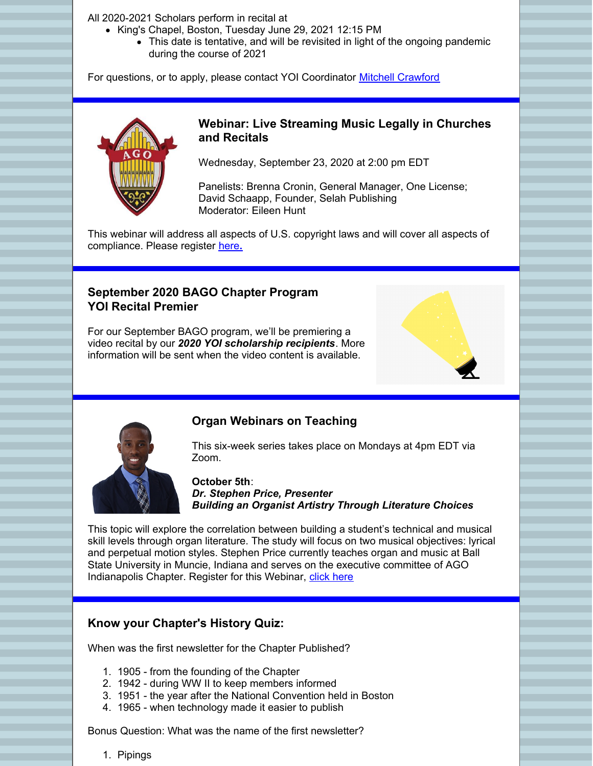All 2020-2021 Scholars perform in recital at

- King's Chapel, Boston, Tuesday June 29, 2021 12:15 PM
	- This date is tentative, and will be revisited in light of the ongoing pandemic during the course of 2021

For questions, or to apply, please contact YOI Coordinator Mitchell [Crawford](mailto:mitchell@oldsouth.org)



### **Webinar: Live Streaming Music Legally in Churches and Recitals**

Wednesday, September 23, 2020 at 2:00 pm EDT

Panelists: Brenna Cronin, General Manager, One License; David Schaapp, Founder, Selah Publishing Moderator: Eileen Hunt

This webinar will address all aspects of U.S. copyright laws and will cover all aspects of compliance. Please register [here](https://us02web.zoom.us/webinar/register/WN_ktWotIY5TCGb7KqvJ9Z8Ag)**[.](https://us02web.zoom.us/webinar/register/WN_ktWotIY5TCGb7KqvJ9Z8Ag)**

## **September 2020 BAGO Chapter Program YOI Recital Premier**

For our September BAGO program, we'll be premiering a video recital by our *2020 YOI scholarship recipients*. More information will be sent when the video content is available.





### **Organ Webinars on Teaching**

This six-week series takes place on Mondays at 4pm EDT via Zoom.

**October 5th**: *Dr. Stephen Price, Presenter Building an Organist Artistry Through Literature Choices*

This topic will explore the correlation between building a student's technical and musical skill levels through organ literature. The study will focus on two musical objectives: lyrical and perpetual motion styles. Stephen Price currently teaches organ and music at Ball State University in Muncie, Indiana and serves on the executive committee of AGO Indianapolis Chapter. Register for this Webinar, [click](https://us02web.zoom.us/webinar/register/WN_tMmaoSMkTumK6sIC650Z7Q?_x_zm_rtaid=ZAdvzGZVQ42CfQMg8sTFDg.1598905229035.f04b87b776496e7c4602f61ef5ddeed7&_x_zm_rhtaid=885) here

### **Know your Chapter's History Quiz:**

When was the first newsletter for the Chapter Published?

- 1. 1905 from the founding of the Chapter
- 2. 1942 during WW II to keep members informed
- 3. 1951 the year after the National Convention held in Boston
- 4. 1965 when technology made it easier to publish

Bonus Question: What was the name of the first newsletter?

1. Pipings